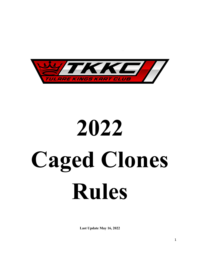

# 2022 Caged Clones Rules

Last Update May 16, 2022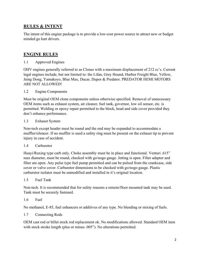# RULES & INTENT

The intent of this engine package is to provide a low-cost power source to attract new or budget minded go kart drivers.

# ENGINE RULES

1.1 Approved Engines

OHV engines generally referred to as Clones with a maximum displacement of 212 cc's. Current legal engines include, but not limited to: the Lifan, Grey Hound, Harbor Freight Blue, Yellow, Jaing Dong, Yamakoyo, Blue Max, Ducar, Dupor & Predator. PREDATOR HEMI MOTORS ARE NOT ALLOWED!

## 1.2 Engine Components

Must be original OEM clone components unless otherwise specified. Removal of unnecessary OEM items such as exhaust system, air cleaner, fuel tank, governor, low oil sensor, etc. is permitted. Welding or epoxy repair permitted to the block, head and side cover provided they don't enhance performance.

## 1.3 Exhaust System

Non-tech except header must be round and the end may be expanded to accommodate a muffler/silencer. If no muffler is used a safety ring must be present on the exhaust tip to prevent injury in case of accident.

## 1.4 Carburetor

Huayi/Ruxing type carb only. Choke assembly must be in place and functional. Venturi .615" max diameter, must be round, checked with go/nogo gauge. Jetting is open. Filter adapter and filter are open. Any pulse type fuel pump permitted and can be pulsed from the crankcase, side cover or valve cover. Carburetor dimensions to be checked with go/nogo gauge. Plastic carburetor isolator must be unmodified and installed in it's original location.

## 1.5 Fuel Tank

Non-tech. It is recommended that for safety reasons a remote/floor mounted tank may be used. Tank must be securely fastened.

## 1.6 Fuel

No methanol, E-85, fuel enhancers or additives of any type. No blending or mixing of fuels.

## 1.7 Connecting Rods

OEM cast rod or billet stock rod replacement ok. No modifications allowed. Standard OEM item with stock stroke length (plus or minus .005"). No alterations permitted.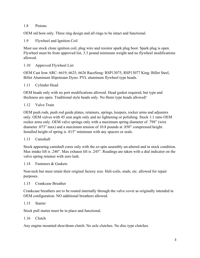## 1.8 Pistons

OEM std bore only. Three ring design and all rings to be intact and functional.

1.9 Flywheel and Ignition Coil

Must use stock clone ignition coil, plug wire and resistor spark plug boot. Spark plug is open. Flywheel must be from approved list, 3.3 pound minimum weight and no flywheel modifications allowed.

## 1.10 Approved Flywheel List

OEM Cast Iron ARC: 6619, 6625, 6626 RaceSeng: RSP13075, RSP13077 King: Billet Steel, Billet Aluminum Slipstream Dyno: PVL aluminum flywheel type heads.

## 1.11 Cylinder Head

OEM heads only with no port modifications allowed. Head gasket required, but type and thickness are open. Traditional style heads only. No Hemi type heads allowed!

## 1.12 Valve Train

OEM push rods, push rod guide plates, retainers, springs, keepers, rocker arms and adjusters only. OEM valves with 45 seat angle only and no lightening or polishing. Stock 1:1 ratio OEM rocker arms only. OEM valve springs only with a maximum spring diameter of .798" (wire diameter .073" max) and a maximum tension of 10.8 pounds at .850" compressed height. Installed height of spring is .815" minimum with any spacers or seals.

## 1.13 Camshaft

Stock appearing camshaft cores only with the ez-spin assembly un-altered and in stock condition. Max intake lift is .240". Max exhaust lift is .245". Readings are taken with a dial indicator on the valve spring retainer with zero lash.

1.14 Fasteners & Gaskets

Non-tech but must retain their original factory size. Heli-coils, studs, etc. allowed for repair purposes.

## 1.15 Crankcase Breather

Crankcase breathers are to be routed internally through the valve cover as originally intended in OEM configuration. NO additional breathers allowed.

# 1.15 Starter

Stock pull starter must be in place and functional.

## 1.16 Clutch

Any engine mounted shoe/drum clutch. No axle clutches. No disc type clutches.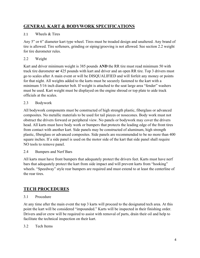# GENERAL KART & BODYWORK SPECIFICATIONS

# 2.1 Wheels & Tires

Any 5" or 6" diameter kart type wheel. Tires must be treaded design and unaltered. Any brand of tire is allowed. Tire softeners, grinding or siping/grooving is not allowed. See section 2.2 weight for tire durometer rules.

# 2.2 Weight

Kart and driver minimum weight is 385 pounds AND the RR tire must read minimum 50 with track tire durometer or 425 pounds with kart and driver and an open RR tire. Top 3 drivers must go to scales after A main event or will be DISQUALIFIED and will forfeit any money or points for that night. All weights added to the karts must be securely fastened to the kart with a minimum 5/16 inch diameter bolt. If weight is attached to the seat large area "fender" washers must be used. Kart weight must be displayed on the engine shroud or top plate to aide track officials at the scales.

# 2.3 Bodywork

All bodywork components must be constructed of high strength plastic, fiberglass or advanced composites. No metallic materials to be used for tail pieces or nosecones. Body work must not obstruct the drivers forward or peripheral view. No panels or bodywork may cover the drivers head. All karts must have body work or bumpers that protects the leading edge of the front tires from contact with another kart. Side panels may be constructed of aluminum, high strength plastic, fiberglass or advanced composites. Side panels are recommended to be no more than 400 square inches. If a side panel is used on the motor side of the kart that side panel shall require NO tools to remove panel.

2.4 Bumpers and Nerf Bars

All karts must have front bumpers that adequately protect the drivers feet. Karts must have nerf bars that adequately protect the kart from side impact and will prevent karts from "hooking" wheels. "Speedway" style rear bumpers are required and must extend to at least the centerline of the rear tires.

# TECH PROCEDURES

# 3.1 Procedure

At any time after the main event the top 3 karts will proceed to the designated tech area. At this point the kart will be considered "impounded." Karts will be inspected in their finishing order. Drivers and/or crew will be required to assist with removal of parts, drain their oil and help to facilitate the technical inspection on their kart.

# 3.2 Tech Items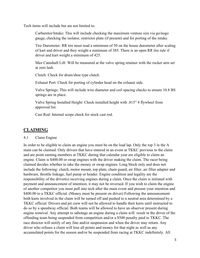Tech items will include but are not limited to:

Carburetor/Intake: This will include checking the maximum venture size via go/nogo gauge, checking the isolator, restrictor plate (if present) and for porting of the intake.

Tire Durometer: RR tire must read a minimum of 50 on the house durometer after scaling of kart and driver and they weight a minimum of 385. There is an open RR tire rule if driver and kart weight a minimum of 425.

Max Camshaft Lift: Will be measured at the valve spring retainer with the rocker arm set at zero lash.

Clutch: Check for drum/shoe type clutch.

Exhaust Port: Check for porting of cylinder head on the exhaust side.

Valve Springs: This will include wire diameter and coil spacing checks to ensure 10.8 BS springs are in place.

Valve Spring Installed Height: Check installed height with .815" 4 flywheel from approved list.

Cast Rod: Internal scope check for stock cast rod.

# CLAIMING

## 4.1 Claim Engine

In order to be eligible to claim an engine you must be on the lead lap. Only the top 3 in the A main can be claimed. Only drivers that have entered in an event at TKKC previous to the claim and are point earning members at TKKC during that calendar year are eligible to claim an engine. Claim is \$400.00 or swap engines with the driver making the claim. The racer being claimed decides whether to take the money or swap engines. Long block only and does not include the following: clutch, motor mount, top plate, chain guard, air filter, air filter adapter and hardware, throttle linkage, fuel pump or header. Engine condition and legality are the responsibility of the driver(s) receiving engines during a claim. Once the claim is initiated with payment and announcement of intention, it may not be reversed. If you wish to claim the engine of another competitor you must pull into tech after the main event and present your intention and \$400.00 to a TKKC official. (Money must be present on driver) Following the announcement both karts involved in the claim will be turned off and pushed to a neutral area determined by a TKKC official. Drivers and pit crew will not be allowed to handle their karts until instructed to do so by a speedway official. Both teams will be allowed to have an observer present during engine removal. Any attempt to sabotage an engine during a claim will result in the driver of the offending team being suspended from competition and/or a \$500 penalty paid to TKKC. The race director will notify of any fine and/or suspension and when the driver may return. Any driver who refuses a claim will lose all points and money for that night as well as any accumulated points for the season and/or be suspended from racing at TKKC indefinitely. All